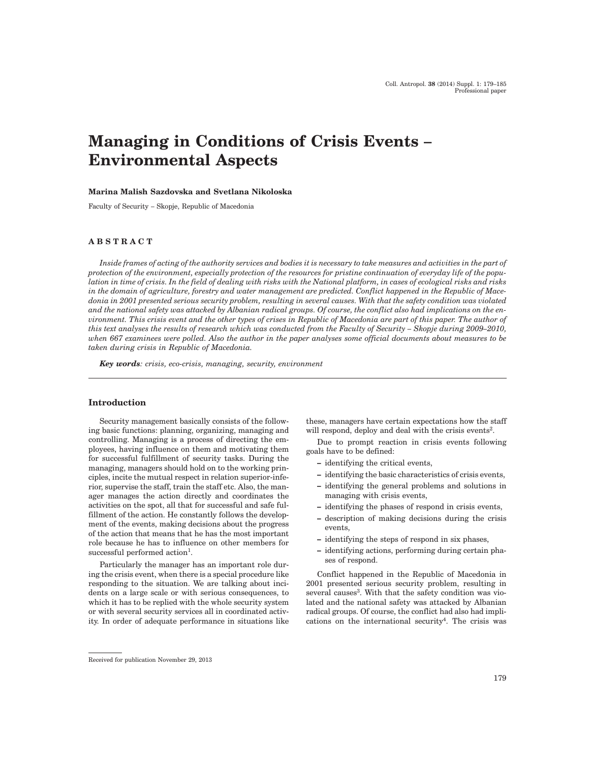# **Managing in Conditions of Crisis Events – Environmental Aspects**

#### **Marina Malish Sazdovska and Svetlana Nikoloska**

Faculty of Security – Skopje, Republic of Macedonia

## **ABSTRACT**

*Inside frames of acting of the authority services and bodies it is necessary to take measures and activities in the part of protection of the environment, especially protection of the resources for pristine continuation of everyday life of the population in time of crisis. In the field of dealing with risks with the National platform, in cases of ecological risks and risks in the domain of agriculture, forestry and water management are predicted. Conflict happened in the Republic of Macedonia in 2001 presented serious security problem, resulting in several causes. With that the safety condition was violated and the national safety was attacked by Albanian radical groups. Of course, the conflict also had implications on the environment. This crisis event and the other types of crises in Republic of Macedonia are part of this paper. The author of this text analyses the results of research which was conducted from the Faculty of Security – Skopje during 2009–2010, when 667 examinees were polled. Also the author in the paper analyses some official documents about measures to be taken during crisis in Republic of Macedonia.*

*Key words: crisis, eco-crisis, managing, security, environment*

# **Introduction**

Security management basically consists of the following basic functions: planning, organizing, managing and controlling. Managing is a process of directing the employees, having influence on them and motivating them for successful fulfillment of security tasks. During the managing, managers should hold on to the working principles, incite the mutual respect in relation superior-inferior, supervise the staff, train the staff etc. Also, the manager manages the action directly and coordinates the activities on the spot, all that for successful and safe fulfillment of the action. He constantly follows the development of the events, making decisions about the progress of the action that means that he has the most important role because he has to influence on other members for successful performed action<sup>1</sup>.

Particularly the manager has an important role during the crisis event, when there is a special procedure like responding to the situation. We are talking about incidents on a large scale or with serious consequences, to which it has to be replied with the whole security system or with several security services all in coordinated activity. In order of adequate performance in situations like these, managers have certain expectations how the staff will respond, deploy and deal with the crisis events<sup>2</sup>.

Due to prompt reaction in crisis events following goals have to be defined:

- ¿ identifying the critical events,
- identifying the basic characteristics of crisis events,
- ¿ identifying the general problems and solutions in managing with crisis events,
- ¿ identifying the phases of respond in crisis events,
- description of making decisions during the crisis events,
- identifying the steps of respond in six phases,
- identifying actions, performing during certain phases of respond.

Conflict happened in the Republic of Macedonia in 2001 presented serious security problem, resulting in several causes<sup>3</sup>. With that the safety condition was violated and the national safety was attacked by Albanian radical groups. Of course, the conflict had also had implications on the international security<sup>4</sup>. The crisis was

Received for publication November 29, 2013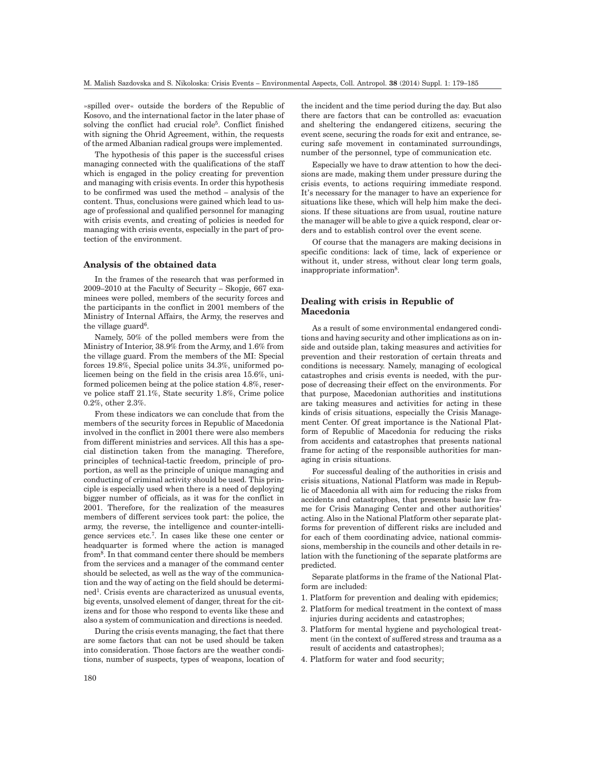»spilled over« outside the borders of the Republic of Kosovo, and the international factor in the later phase of solving the conflict had crucial role5. Conflict finished with signing the Ohrid Agreement, within, the requests of the armed Albanian radical groups were implemented.

The hypothesis of this paper is the successful crises managing connected with the qualifications of the staff which is engaged in the policy creating for prevention and managing with crisis events. In order this hypothesis to be confirmed was used the method – analysis of the content. Thus, conclusions were gained which lead to usage of professional and qualified personnel for managing with crisis events, and creating of policies is needed for managing with crisis events, especially in the part of protection of the environment.

#### **Analysis of the obtained data**

In the frames of the research that was performed in 2009–2010 at the Faculty of Security – Skopje, 667 examinees were polled, members of the security forces and the participants in the conflict in 2001 members of the Ministry of Internal Affairs, the Army, the reserves and the village guard<sup>6</sup>.

Namely, 50% of the polled members were from the Ministry of Interior, 38.9% from the Army, and 1.6% from the village guard. From the members of the MI: Special forces 19.8%, Special police units 34.3%, uniformed policemen being on the field in the crisis area 15.6%, uniformed policemen being at the police station 4.8%, reserve police staff 21.1%, State security 1.8%, Crime police 0.2%, other 2.3%.

From these indicators we can conclude that from the members of the security forces in Republic of Macedonia involved in the conflict in 2001 there were also members from different ministries and services. All this has a special distinction taken from the managing. Therefore, principles of technical-tactic freedom, principle of proportion, as well as the principle of unique managing and conducting of criminal activity should be used. This principle is especially used when there is a need of deploying bigger number of officials, as it was for the conflict in 2001. Therefore, for the realization of the measures members of different services took part: the police, the army, the reverse, the intelligence and counter-intelligence services etc.7. In cases like these one center or headquarter is formed where the action is managed from8. In that command center there should be members from the services and a manager of the command center should be selected, as well as the way of the communication and the way of acting on the field should be determined<sup>1</sup>. Crisis events are characterized as unusual events, big events, unsolved element of danger, threat for the citizens and for those who respond to events like these and also a system of communication and directions is needed.

During the crisis events managing, the fact that there are some factors that can not be used should be taken into consideration. Those factors are the weather conditions, number of suspects, types of weapons, location of

the incident and the time period during the day. But also there are factors that can be controlled as: evacuation and sheltering the endangered citizens, securing the event scene, securing the roads for exit and entrance, securing safe movement in contaminated surroundings, number of the personnel, type of communication etc.

Especially we have to draw attention to how the decisions are made, making them under pressure during the crisis events, to actions requiring immediate respond. It's necessary for the manager to have an experience for situations like these, which will help him make the decisions. If these situations are from usual, routine nature the manager will be able to give a quick respond, clear orders and to establish control over the event scene.

Of course that the managers are making decisions in specific conditions: lack of time, lack of experience or without it, under stress, without clear long term goals, inappropriate information<sup>8</sup>.

# **Dealing with crisis in Republic of Macedonia**

As a result of some environmental endangered conditions and having security and other implications as on inside and outside plan, taking measures and activities for prevention and their restoration of certain threats and conditions is necessary. Namely, managing of ecological catastrophes and crisis events is needed, with the purpose of decreasing their effect on the environments. For that purpose, Macedonian authorities and institutions are taking measures and activities for acting in these kinds of crisis situations, especially the Crisis Management Center. Of great importance is the National Platform of Republic of Macedonia for reducing the risks from accidents and catastrophes that presents national frame for acting of the responsible authorities for managing in crisis situations.

For successful dealing of the authorities in crisis and crisis situations, National Platform was made in Republic of Macedonia all with aim for reducing the risks from accidents and catastrophes, that presents basic law frame for Crisis Managing Center and other authorities' acting. Also in the National Platform other separate platforms for prevention of different risks are included and for each of them coordinating advice, national commissions, membership in the councils and other details in relation with the functioning of the separate platforms are predicted.

Separate platforms in the frame of the National Platform are included:

- 1. Platform for prevention and dealing with epidemics;
- 2. Platform for medical treatment in the context of mass injuries during accidents and catastrophes;
- 3. Platform for mental hygiene and psychological treatment (in the context of suffered stress and trauma as a result of accidents and catastrophes);
- 4. Platform for water and food security;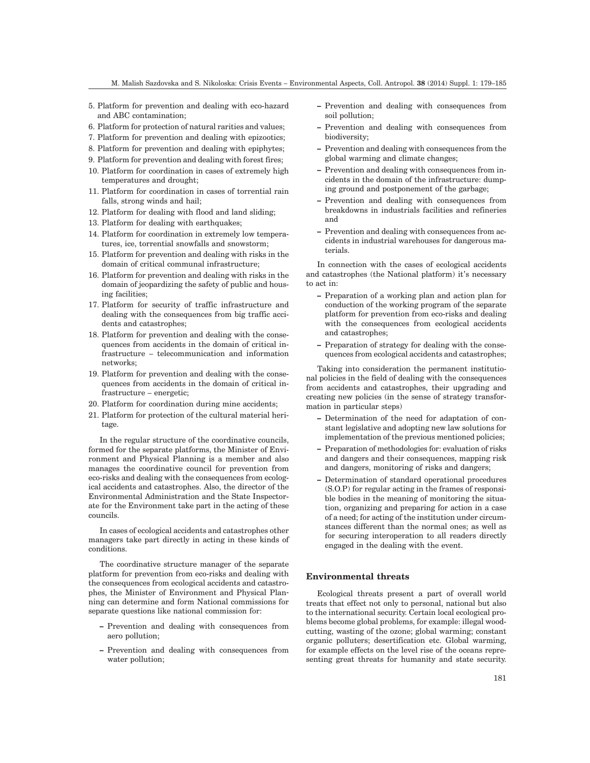- 5. Platform for prevention and dealing with eco-hazard and ABC contamination;
- 6. Platform for protection of natural rarities and values;
- 7. Platform for prevention and dealing with epizootics;
- 8. Platform for prevention and dealing with epiphytes;
- 9. Platform for prevention and dealing with forest fires;
- 10. Platform for coordination in cases of extremely high temperatures and drought;
- 11. Platform for coordination in cases of torrential rain falls, strong winds and hail;
- 12. Platform for dealing with flood and land sliding;
- 13. Platform for dealing with earthquakes;
- 14. Platform for coordination in extremely low temperatures, ice, torrential snowfalls and snowstorm;
- 15. Platform for prevention and dealing with risks in the domain of critical communal infrastructure;
- 16. Platform for prevention and dealing with risks in the domain of jeopardizing the safety of public and housing facilities;
- 17. Platform for security of traffic infrastructure and dealing with the consequences from big traffic accidents and catastrophes;
- 18. Platform for prevention and dealing with the consequences from accidents in the domain of critical infrastructure – telecommunication and information networks;
- 19. Platform for prevention and dealing with the consequences from accidents in the domain of critical infrastructure – energetic;
- 20. Platform for coordination during mine accidents;
- 21. Platform for protection of the cultural material heritage.

In the regular structure of the coordinative councils, formed for the separate platforms, the Minister of Environment and Physical Planning is a member and also manages the coordinative council for prevention from eco-risks and dealing with the consequences from ecological accidents and catastrophes. Also, the director of the Environmental Administration and the State Inspectorate for the Environment take part in the acting of these councils.

In cases of ecological accidents and catastrophes other managers take part directly in acting in these kinds of conditions.

The coordinative structure manager of the separate platform for prevention from eco-risks and dealing with the consequences from ecological accidents and catastrophes, the Minister of Environment and Physical Planning can determine and form National commissions for separate questions like national commission for:

- ¿ Prevention and dealing with consequences from aero pollution;
- ¿ Prevention and dealing with consequences from water pollution;
- ¿ Prevention and dealing with consequences from soil pollution;
- ¿ Prevention and dealing with consequences from biodiversity;
- Prevention and dealing with consequences from the global warming and climate changes;
- Prevention and dealing with consequences from incidents in the domain of the infrastructure: dumping ground and postponement of the garbage;
- ¿ Prevention and dealing with consequences from breakdowns in industrials facilities and refineries and
- Prevention and dealing with consequences from accidents in industrial warehouses for dangerous materials.

In connection with the cases of ecological accidents and catastrophes (the National platform) it's necessary to act in:

- Preparation of a working plan and action plan for conduction of the working program of the separate platform for prevention from eco-risks and dealing with the consequences from ecological accidents and catastrophes;
- Preparation of strategy for dealing with the consequences from ecological accidents and catastrophes;

Taking into consideration the permanent institutional policies in the field of dealing with the consequences from accidents and catastrophes, their upgrading and creating new policies (in the sense of strategy transformation in particular steps)

- Determination of the need for adaptation of constant legislative and adopting new law solutions for implementation of the previous mentioned policies;
- Preparation of methodologies for: evaluation of risks and dangers and their consequences, mapping risk and dangers, monitoring of risks and dangers;
- Determination of standard operational procedures (S.O.P) for regular acting in the frames of responsible bodies in the meaning of monitoring the situation, organizing and preparing for action in a case of a need; for acting of the institution under circumstances different than the normal ones; as well as for securing interoperation to all readers directly engaged in the dealing with the event.

# **Environmental threats**

Ecological threats present a part of overall world treats that effect not only to personal, national but also to the international security. Certain local ecological problems become global problems, for example: illegal woodcutting, wasting of the ozone; global warming; constant organic polluters; desertification etc. Global warming, for example effects on the level rise of the oceans representing great threats for humanity and state security.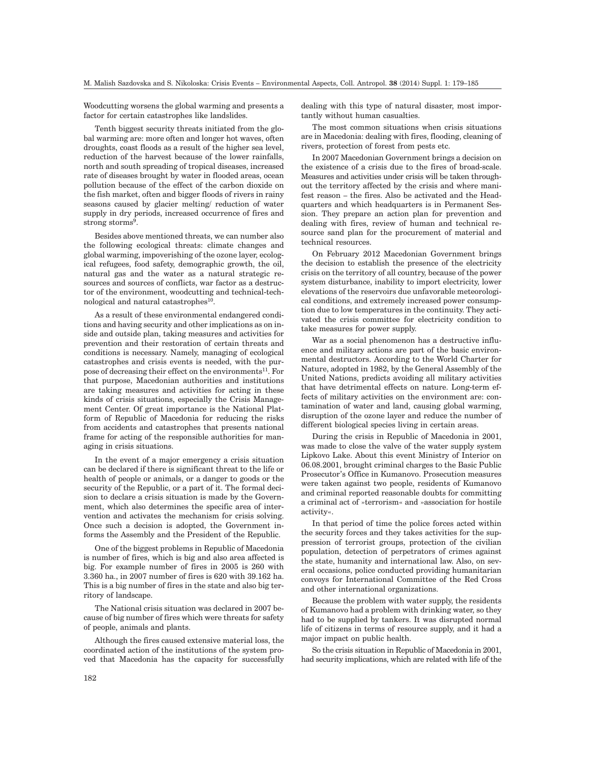Woodcutting worsens the global warming and presents a factor for certain catastrophes like landslides.

Tenth biggest security threats initiated from the global warming are: more often and longer hot waves, often droughts, coast floods as a result of the higher sea level, reduction of the harvest because of the lower rainfalls, north and south spreading of tropical diseases, increased rate of diseases brought by water in flooded areas, ocean pollution because of the effect of the carbon dioxide on the fish market, often and bigger floods of rivers in rainy seasons caused by glacier melting/ reduction of water supply in dry periods, increased occurrence of fires and strong storms<sup>9</sup>.

Besides above mentioned threats, we can number also the following ecological threats: climate changes and global warming, impoverishing of the ozone layer, ecological refugees, food safety, demographic growth, the oil, natural gas and the water as a natural strategic resources and sources of conflicts, war factor as a destructor of the environment, woodcutting and technical-technological and natural catastrophes<sup>10</sup>.

As a result of these environmental endangered conditions and having security and other implications as on inside and outside plan, taking measures and activities for prevention and their restoration of certain threats and conditions is necessary. Namely, managing of ecological catastrophes and crisis events is needed, with the purpose of decreasing their effect on the environments<sup>11</sup>. For that purpose, Macedonian authorities and institutions are taking measures and activities for acting in these kinds of crisis situations, especially the Crisis Management Center. Of great importance is the National Platform of Republic of Macedonia for reducing the risks from accidents and catastrophes that presents national frame for acting of the responsible authorities for managing in crisis situations.

In the event of a major emergency a crisis situation can be declared if there is significant threat to the life or health of people or animals, or a danger to goods or the security of the Republic, or a part of it. The formal decision to declare a crisis situation is made by the Government, which also determines the specific area of intervention and activates the mechanism for crisis solving. Once such a decision is adopted, the Government informs the Assembly and the President of the Republic.

One of the biggest problems in Republic of Macedonia is number of fires, which is big and also area affected is big. For example number of fires in 2005 is 260 with 3.360 ha., in 2007 number of fires is 620 with 39.162 ha. This is a big number of fires in the state and also big territory of landscape.

The National crisis situation was declared in 2007 because of big number of fires which were threats for safety of people, animals and plants.

Although the fires caused extensive material loss, the coordinated action of the institutions of the system proved that Macedonia has the capacity for successfully dealing with this type of natural disaster, most importantly without human casualties.

The most common situations when crisis situations are in Macedonia: dealing with fires, flooding, cleaning of rivers, protection of forest from pests etc.

In 2007 Macedonian Government brings a decision on the existence of a crisis due to the fires of broad-scale. Measures and activities under crisis will be taken throughout the territory affected by the crisis and where manifest reason – the fires. Also be activated and the Headquarters and which headquarters is in Permanent Session. They prepare an action plan for prevention and dealing with fires, review of human and technical resource sand plan for the procurement of material and technical resources.

On February 2012 Macedonian Government brings the decision to establish the presence of the electricity crisis on the territory of all country, because of the power system disturbance, inability to import electricity, lower elevations of the reservoirs due unfavorable meteorological conditions, and extremely increased power consumption due to low temperatures in the continuity. They activated the crisis committee for electricity condition to take measures for power supply.

War as a social phenomenon has a destructive influence and military actions are part of the basic environmental destructors. According to the World Charter for Nature, adopted in 1982, by the General Assembly of the United Nations, predicts avoiding all military activities that have detrimental effects on nature. Long-term effects of military activities on the environment are: contamination of water and land, causing global warming, disruption of the ozone layer and reduce the number of different biological species living in certain areas.

During the crisis in Republic of Macedonia in 2001, was made to close the valve of the water supply system Lipkovo Lake. About this event Ministry of Interior on 06.08.2001, brought criminal charges to the Basic Public Prosecutor's Office in Kumanovo. Prosecution measures were taken against two people, residents of Kumanovo and criminal reported reasonable doubts for committing a criminal act of »terrorism« and »association for hostile activity«.

In that period of time the police forces acted within the security forces and they takes activities for the suppression of terrorist groups, protection of the civilian population, detection of perpetrators of crimes against the state, humanity and international law. Also, on several occasions, police conducted providing humanitarian convoys for International Committee of the Red Cross and other international organizations.

Because the problem with water supply, the residents of Kumanovo had a problem with drinking water, so they had to be supplied by tankers. It was disrupted normal life of citizens in terms of resource supply, and it had a major impact on public health.

So the crisis situation in Republic of Macedonia in 2001, had security implications, which are related with life of the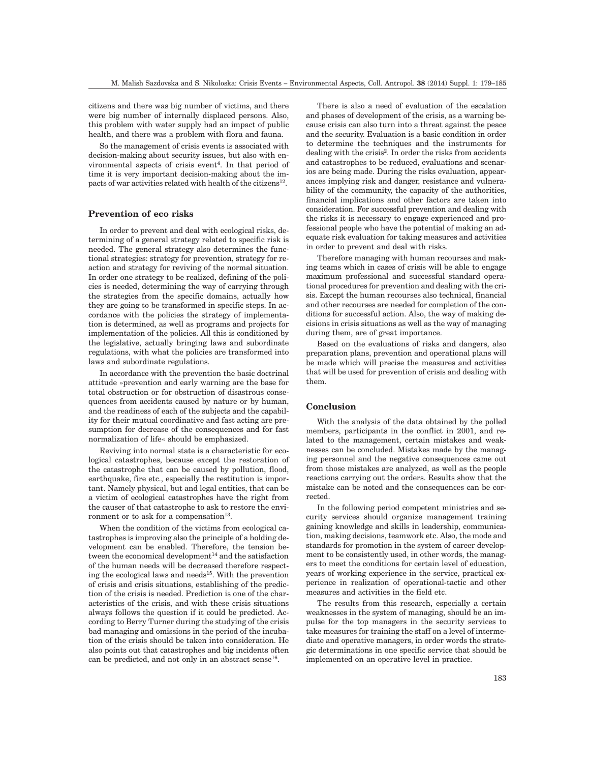citizens and there was big number of victims, and there were big number of internally displaced persons. Also, this problem with water supply had an impact of public health, and there was a problem with flora and fauna.

So the management of crisis events is associated with decision-making about security issues, but also with environmental aspects of crisis event<sup>4</sup>. In that period of time it is very important decision-making about the impacts of war activities related with health of the citizens<sup>12</sup>.

## **Prevention of eco risks**

In order to prevent and deal with ecological risks, determining of a general strategy related to specific risk is needed. The general strategy also determines the functional strategies: strategy for prevention, strategy for reaction and strategy for reviving of the normal situation. In order one strategy to be realized, defining of the policies is needed, determining the way of carrying through the strategies from the specific domains, actually how they are going to be transformed in specific steps. In accordance with the policies the strategy of implementation is determined, as well as programs and projects for implementation of the policies. All this is conditioned by the legislative, actually bringing laws and subordinate regulations, with what the policies are transformed into laws and subordinate regulations.

In accordance with the prevention the basic doctrinal attitude »prevention and early warning are the base for total obstruction or for obstruction of disastrous consequences from accidents caused by nature or by human, and the readiness of each of the subjects and the capability for their mutual coordinative and fast acting are presumption for decrease of the consequences and for fast normalization of life« should be emphasized.

Reviving into normal state is a characteristic for ecological catastrophes, because except the restoration of the catastrophe that can be caused by pollution, flood, earthquake, fire etc., especially the restitution is important. Namely physical, but and legal entities, that can be a victim of ecological catastrophes have the right from the causer of that catastrophe to ask to restore the environment or to ask for a compensation $13$ .

When the condition of the victims from ecological catastrophes is improving also the principle of a holding development can be enabled. Therefore, the tension between the economical development $14$  and the satisfaction of the human needs will be decreased therefore respecting the ecological laws and needs<sup>15</sup>. With the prevention of crisis and crisis situations, establishing of the prediction of the crisis is needed. Prediction is one of the characteristics of the crisis, and with these crisis situations always follows the question if it could be predicted. According to Berry Turner during the studying of the crisis bad managing and omissions in the period of the incubation of the crisis should be taken into consideration. He also points out that catastrophes and big incidents often can be predicted, and not only in an abstract sense<sup>16</sup>.

There is also a need of evaluation of the escalation and phases of development of the crisis, as a warning because crisis can also turn into a threat against the peace and the security. Evaluation is a basic condition in order to determine the techniques and the instruments for dealing with the crisis2. In order the risks from accidents and catastrophes to be reduced, evaluations and scenarios are being made. During the risks evaluation, appearances implying risk and danger, resistance and vulnerability of the community, the capacity of the authorities, financial implications and other factors are taken into consideration. For successful prevention and dealing with the risks it is necessary to engage experienced and professional people who have the potential of making an adequate risk evaluation for taking measures and activities in order to prevent and deal with risks.

Therefore managing with human recourses and making teams which in cases of crisis will be able to engage maximum professional and successful standard operational procedures for prevention and dealing with the crisis. Except the human recourses also technical, financial and other recourses are needed for completion of the conditions for successful action. Also, the way of making decisions in crisis situations as well as the way of managing during them, are of great importance.

Based on the evaluations of risks and dangers, also preparation plans, prevention and operational plans will be made which will precise the measures and activities that will be used for prevention of crisis and dealing with them.

#### **Conclusion**

With the analysis of the data obtained by the polled members, participants in the conflict in 2001, and related to the management, certain mistakes and weaknesses can be concluded. Mistakes made by the managing personnel and the negative consequences came out from those mistakes are analyzed, as well as the people reactions carrying out the orders. Results show that the mistake can be noted and the consequences can be corrected.

In the following period competent ministries and security services should organize management training gaining knowledge and skills in leadership, communication, making decisions, teamwork etc. Also, the mode and standards for promotion in the system of career development to be consistently used, in other words, the managers to meet the conditions for certain level of education, years of working experience in the service, practical experience in realization of operational-tactic and other measures and activities in the field etc.

The results from this research, especially a certain weaknesses in the system of managing, should be an impulse for the top managers in the security services to take measures for training the staff on a level of intermediate and operative managers, in order words the strategic determinations in one specific service that should be implemented on an operative level in practice.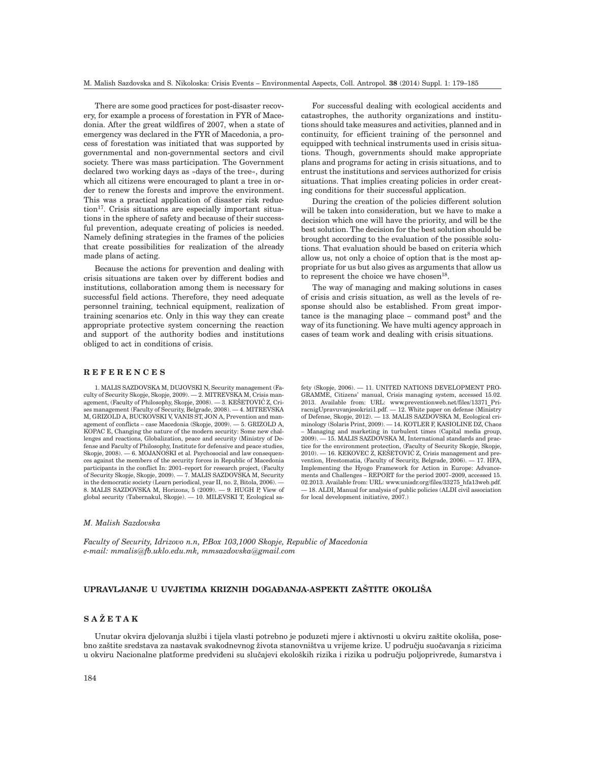There are some good practices for post-disaster recovery, for example a process of forestation in FYR of Macedonia. After the great wildfires of 2007, when a state of emergency was declared in the FYR of Macedonia, a process of forestation was initiated that was supported by governmental and non-governmental sectors and civil society. There was mass participation. The Government declared two working days as »days of the tree«, during which all citizens were encouraged to plant a tree in order to renew the forests and improve the environment. This was a practical application of disaster risk reduction<sup>17</sup>. Crisis situations are especially important situations in the sphere of safety and because of their successful prevention, adequate creating of policies is needed. Namely defining strategies in the frames of the policies that create possibilities for realization of the already made plans of acting.

Because the actions for prevention and dealing with crisis situations are taken over by different bodies and institutions, collaboration among them is necessary for successful field actions. Therefore, they need adequate personnel training, technical equipment, realization of training scenarios etc. Only in this way they can create appropriate protective system concerning the reaction and support of the authority bodies and institutions obliged to act in conditions of crisis.

For successful dealing with ecological accidents and catastrophes, the authority organizations and institutions should take measures and activities, planned and in continuity, for efficient training of the personnel and equipped with technical instruments used in crisis situations. Though, governments should make appropriate plans and programs for acting in crisis situations, and to entrust the institutions and services authorized for crisis situations. That implies creating policies in order creating conditions for their successful application.

During the creation of the policies different solution will be taken into consideration, but we have to make a decision which one will have the priority, and will be the best solution. The decision for the best solution should be brought according to the evaluation of the possible solutions. That evaluation should be based on criteria which allow us, not only a choice of option that is the most appropriate for us but also gives as arguments that allow us to represent the choice we have chosen<sup>18</sup>.

The way of managing and making solutions in cases of crisis and crisis situation, as well as the levels of response should also be established. From great importance is the managing place – command post $8$  and the way of its functioning. We have multi agency approach in cases of team work and dealing with crisis situations.

#### **REFERENCES**

1. MALIS SAZDOVSKA M, DUJOVSKI N, Security management (Faculty of Security Skopje, Skopje, 2009). — 2. MITREVSKA M, Crisis management, (Faculty of Philosophy, Skopje, 2008). — 3. KEŠETOVIĆ Z, Crises management (Faculty of Security, Belgrade, 2008). — 4. MITREVSKA M, GRIZOLD A, BUCKOVSKI V, VANIS ST, JON A, Prevention and management of conflicts – case Macedonia (Skopje, 2009). — 5. GRIZOLD A, KOPAC E, Changing the nature of the modern security: Some new challenges and reactions, Globalization, peace and security (Ministry of Defense and Faculty of Philosophy, Institute for defensive and peace studies, Skopje,  $2008$ .  $-6$ . MOJANOSKI et al. Psychosocial and law consequences against the members of the security forces in Republic of Macedonia participants in the conflict In: 2001–report for research project, (Faculty of Security Skopje, Skopje, 2009). — 7. MALIS SAZDOVSKA M, Security in the democratic society (Learn periodical, year II, no. 2, Bitola, 2006). — 8. MALIS SAZDOVSKA M, Horizons, 5 (2009). — 9. HUGH P, View of global security (Tabernakul, Skopje). — 10. MILEVSKI T, Ecological safety (Skopje, 2006). — 11. UNITED NATIONS DEVELOPMENT PRO-GRAMME, Citizens' manual, Crisis managing system, accessed 15.02. 2013. Available from: URL: www.preventionweb.net/files/13371\_PriracnigUpravuvanjesokrizi1.pdf.  $-12$ . White paper on defense (Ministry of Defense, Skopje, 2012). — 13. MALIS SAZDOVSKA M, Ecological criminology (Solaris Print, 2009). — 14. KOTLER F, KASIOLINE DZ, Chaos – Managing and marketing in turbulent times (Capital media group, 2009). — 15. MALIS SAZDOVSKA M, International standards and practice for the environment protection, (Faculty of Security Skopje, Skopje,  $2010$ ).  $-16$ , KEKOVEC Z, KEŠETOVIĆ Z, Crisis management and prevention, Hrestomatia, (Faculty of Security, Belgrade, 2006). — 17. HFA, Implementing the Hyogo Framework for Action in Europe: Advancements and Challenges – REPORT for the period 2007–2009, accessed 15. 02.2013. Available from: URL: www.unisdr.org/files/33275\_hfa13web.pdf. — 18. ALDI, Manual for analysis of public policies (ALDI civil association for local development initiative, 2007.)

#### *M. Malish Sazdovska*

*Faculty of Security, Idrizovo n.n, P.Box 103,1000 Skopje, Republic of Macedonia e-mail: mmalis@fb.uklo.edu.mk, mmsazdovska@gmail.com*

## UPRAVLJANJE U UVJETIMA KRIZNIH DOGAĐANJA-ASPEKTI ZAŠTITE OKOLIŠA

## **SA@ETAK**

Unutar okvira djelovanja službi i tijela vlasti potrebno je poduzeti mjere i aktivnosti u okviru zaštite okoliša, posebno zaštite sredstava za nastavak svakodnevnog života stanovništva u vrijeme krize. U područiu suočavanja s rizicima u okviru Nacionalne platforme predviđeni su slučajevi ekoloških rizika i rizika u području poljoprivrede, šumarstva i